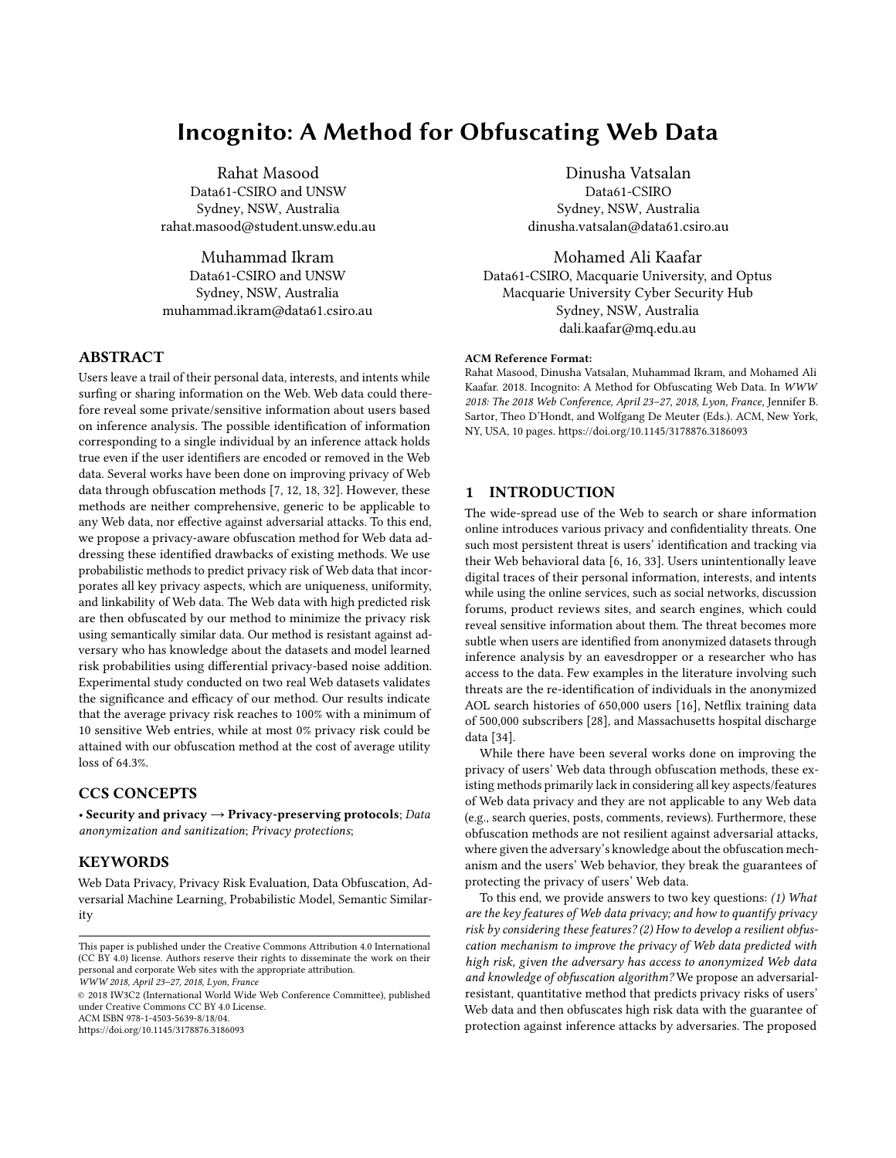# Incognito: A Method for Obfuscating Web Data

Rahat Masood Data61-CSIRO and UNSW Sydney, NSW, Australia rahat.masood@student.unsw.edu.au

Muhammad Ikram Data61-CSIRO and UNSW Sydney, NSW, Australia muhammad.ikram@data61.csiro.au

# ABSTRACT

Users leave a trail of their personal data, interests, and intents while surfing or sharing information on the Web. Web data could therefore reveal some private/sensitive information about users based on inference analysis. The possible identification of information corresponding to a single individual by an inference attack holds true even if the user identifiers are encoded or removed in the Web data. Several works have been done on improving privacy of Web data through obfuscation methods [\[7,](#page-9-0) [12,](#page-9-1) [18,](#page-9-2) [32\]](#page-9-3). However, these methods are neither comprehensive, generic to be applicable to any Web data, nor effective against adversarial attacks. To this end, we propose a privacy-aware obfuscation method for Web data addressing these identified drawbacks of existing methods. We use probabilistic methods to predict privacy risk of Web data that incorporates all key privacy aspects, which are uniqueness, uniformity, and linkability of Web data. The Web data with high predicted risk are then obfuscated by our method to minimize the privacy risk using semantically similar data. Our method is resistant against adversary who has knowledge about the datasets and model learned risk probabilities using differential privacy-based noise addition. Experimental study conducted on two real Web datasets validates the significance and efficacy of our method. Our results indicate that the average privacy risk reaches to 100% with a minimum of 10 sensitive Web entries, while at most 0% privacy risk could be attained with our obfuscation method at the cost of average utility loss of 64.3%.

# CCS CONCEPTS

• Security and privacy  $\rightarrow$  Privacy-preserving protocols; Data anonymization and sanitization; Privacy protections;

## **KEYWORDS**

Web Data Privacy, Privacy Risk Evaluation, Data Obfuscation, Adversarial Machine Learning, Probabilistic Model, Semantic Similarity

WWW 2018, April 23–27, 2018, Lyon, France

© 2018 IW3C2 (International World Wide Web Conference Committee), published under Creative Commons CC BY 4.0 License. ACM ISBN 978-1-4503-5639-8/18/04.

<https://doi.org/10.1145/3178876.3186093>

Dinusha Vatsalan Data61-CSIRO Sydney, NSW, Australia dinusha.vatsalan@data61.csiro.au

Mohamed Ali Kaafar Data61-CSIRO, Macquarie University, and Optus Macquarie University Cyber Security Hub Sydney, NSW, Australia dali.kaafar@mq.edu.au

#### ACM Reference Format:

Rahat Masood, Dinusha Vatsalan, Muhammad Ikram, and Mohamed Ali Kaafar. 2018. Incognito: A Method for Obfuscating Web Data. In WWW 2018: The 2018 Web Conference, April 23–27, 2018, Lyon, France, Jennifer B. Sartor, Theo D'Hondt, and Wolfgang De Meuter (Eds.). ACM, New York, NY, USA, [10](#page-9-4) pages.<https://doi.org/10.1145/3178876.3186093>

# 1 INTRODUCTION

The wide-spread use of the Web to search or share information online introduces various privacy and confidentiality threats. One such most persistent threat is users' identification and tracking via their Web behavioral data [\[6,](#page-9-5) [16,](#page-9-6) [33\]](#page-9-7). Users unintentionally leave digital traces of their personal information, interests, and intents while using the online services, such as social networks, discussion forums, product reviews sites, and search engines, which could reveal sensitive information about them. The threat becomes more subtle when users are identified from anonymized datasets through inference analysis by an eavesdropper or a researcher who has access to the data. Few examples in the literature involving such threats are the re-identification of individuals in the anonymized AOL search histories of 650,000 users [\[16\]](#page-9-6), Netflix training data of 500,000 subscribers [\[28\]](#page-9-8), and Massachusetts hospital discharge data [\[34\]](#page-9-9).

While there have been several works done on improving the privacy of users' Web data through obfuscation methods, these existing methods primarily lack in considering all key aspects/features of Web data privacy and they are not applicable to any Web data (e.g., search queries, posts, comments, reviews). Furthermore, these obfuscation methods are not resilient against adversarial attacks, where given the adversary's knowledge about the obfuscation mechanism and the users' Web behavior, they break the guarantees of protecting the privacy of users' Web data.

To this end, we provide answers to two key questions: (1) What are the key features of Web data privacy; and how to quantify privacy risk by considering these features? (2) How to develop a resilient obfuscation mechanism to improve the privacy of Web data predicted with high risk, given the adversary has access to anonymized Web data and knowledge of obfuscation algorithm? We propose an adversarialresistant, quantitative method that predicts privacy risks of users' Web data and then obfuscates high risk data with the guarantee of protection against inference attacks by adversaries. The proposed

This paper is published under the Creative Commons Attribution 4.0 International (CC BY 4.0) license. Authors reserve their rights to disseminate the work on their personal and corporate Web sites with the appropriate attribution.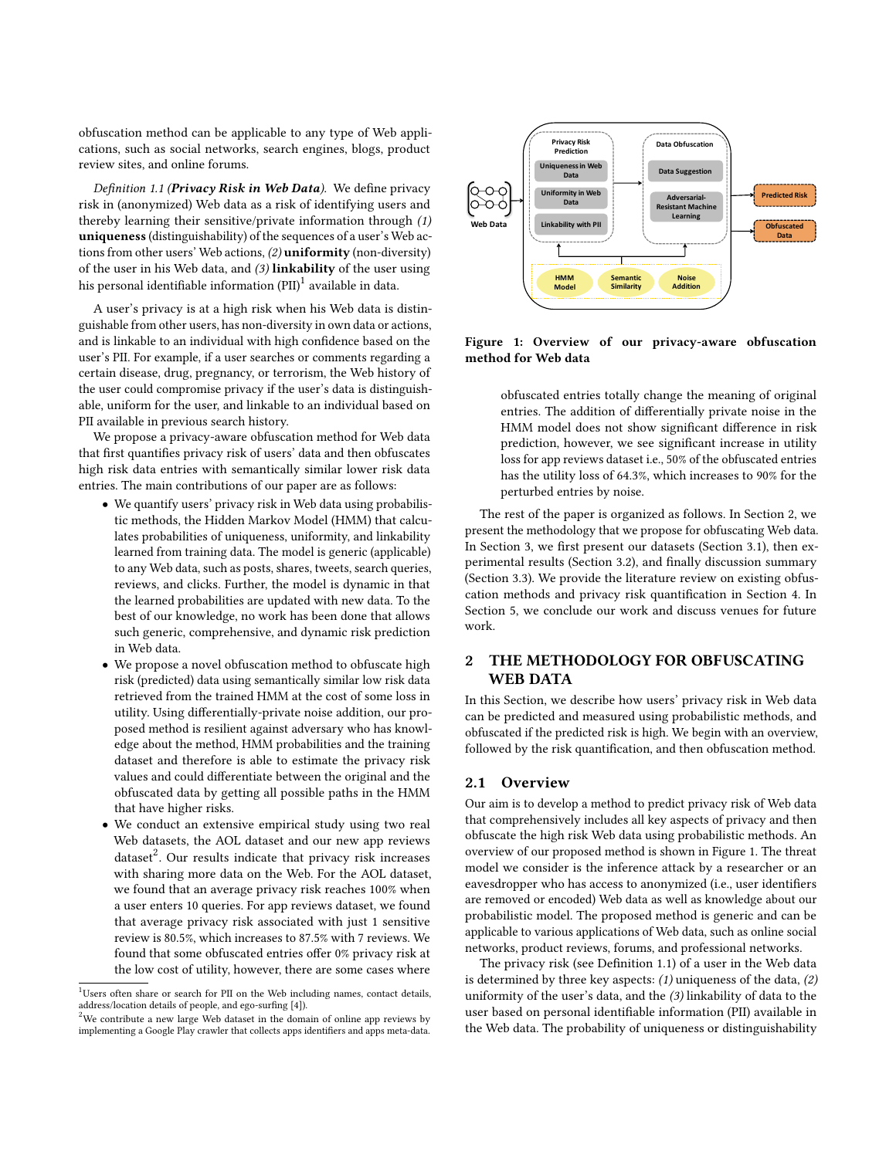obfuscation method can be applicable to any type of Web applications, such as social networks, search engines, blogs, product review sites, and online forums.

<span id="page-1-4"></span>Definition 1.1 (Privacy Risk in Web Data). We define privacy risk in (anonymized) Web data as a risk of identifying users and thereby learning their sensitive/private information through (1) uniqueness (distinguishability) of the sequences of a user's Web actions from other users' Web actions, (2) uniformity (non-diversity) of the user in his Web data, and (3) linkability of the user using his personal identifiable information (PII) $^1$  $^1$  available in data.

A user's privacy is at a high risk when his Web data is distinguishable from other users, has non-diversity in own data or actions, and is linkable to an individual with high confidence based on the user's PII. For example, if a user searches or comments regarding a certain disease, drug, pregnancy, or terrorism, the Web history of the user could compromise privacy if the user's data is distinguishable, uniform for the user, and linkable to an individual based on PII available in previous search history.

We propose a privacy-aware obfuscation method for Web data that first quantifies privacy risk of users' data and then obfuscates high risk data entries with semantically similar lower risk data entries. The main contributions of our paper are as follows:

- We quantify users' privacy risk in Web data using probabilistic methods, the Hidden Markov Model (HMM) that calculates probabilities of uniqueness, uniformity, and linkability learned from training data. The model is generic (applicable) to any Web data, such as posts, shares, tweets, search queries, reviews, and clicks. Further, the model is dynamic in that the learned probabilities are updated with new data. To the best of our knowledge, no work has been done that allows such generic, comprehensive, and dynamic risk prediction in Web data.
- We propose a novel obfuscation method to obfuscate high risk (predicted) data using semantically similar low risk data retrieved from the trained HMM at the cost of some loss in utility. Using differentially-private noise addition, our proposed method is resilient against adversary who has knowledge about the method, HMM probabilities and the training dataset and therefore is able to estimate the privacy risk values and could differentiate between the original and the obfuscated data by getting all possible paths in the HMM that have higher risks.
- We conduct an extensive empirical study using two real Web datasets, the AOL dataset and our new app reviews  $dataset<sup>2</sup>$  $dataset<sup>2</sup>$  $dataset<sup>2</sup>$ . Our results indicate that privacy risk increases with sharing more data on the Web. For the AOL dataset, we found that an average privacy risk reaches 100% when a user enters 10 queries. For app reviews dataset, we found that average privacy risk associated with just 1 sensitive review is 80.5%, which increases to 87.5% with 7 reviews. We found that some obfuscated entries offer 0% privacy risk at the low cost of utility, however, there are some cases where

<span id="page-1-3"></span>

Figure 1: Overview of our privacy-aware obfuscation method for Web data

obfuscated entries totally change the meaning of original entries. The addition of differentially private noise in the HMM model does not show significant difference in risk prediction, however, we see significant increase in utility loss for app reviews dataset i.e., 50% of the obfuscated entries has the utility loss of 64.3%, which increases to 90% for the perturbed entries by noise.

The rest of the paper is organized as follows. In Section [2,](#page-1-2) we present the methodology that we propose for obfuscating Web data. In Section [3,](#page-3-0) we first present our datasets (Section [3.1\)](#page-3-1), then experimental results (Section [3.2\)](#page-4-0), and finally discussion summary (Section [3.3\)](#page-6-0). We provide the literature review on existing obfuscation methods and privacy risk quantification in Section [4.](#page-8-0) In Section [5,](#page-8-1) we conclude our work and discuss venues for future work.

# <span id="page-1-2"></span>2 THE METHODOLOGY FOR OBFUSCATING WEB DATA

In this Section, we describe how users' privacy risk in Web data can be predicted and measured using probabilistic methods, and obfuscated if the predicted risk is high. We begin with an overview, followed by the risk quantification, and then obfuscation method.

#### 2.1 Overview

Our aim is to develop a method to predict privacy risk of Web data that comprehensively includes all key aspects of privacy and then obfuscate the high risk Web data using probabilistic methods. An overview of our proposed method is shown in Figure [1.](#page-1-3) The threat model we consider is the inference attack by a researcher or an eavesdropper who has access to anonymized (i.e., user identifiers are removed or encoded) Web data as well as knowledge about our probabilistic model. The proposed method is generic and can be applicable to various applications of Web data, such as online social networks, product reviews, forums, and professional networks.

The privacy risk (see Definition [1.1\)](#page-1-4) of a user in the Web data is determined by three key aspects:  $(1)$  uniqueness of the data,  $(2)$ uniformity of the user's data, and the (3) linkability of data to the user based on personal identifiable information (PII) available in the Web data. The probability of uniqueness or distinguishability

<span id="page-1-0"></span><sup>&</sup>lt;sup>1</sup>Users often share or search for PII on the Web including names, contact details, address/location details of people, and ego-surfing [\[4\]](#page-9-10)).

<span id="page-1-1"></span> $2$ We contribute a new large Web dataset in the domain of online app reviews by implementing a Google Play crawler that collects apps identifiers and apps meta-data.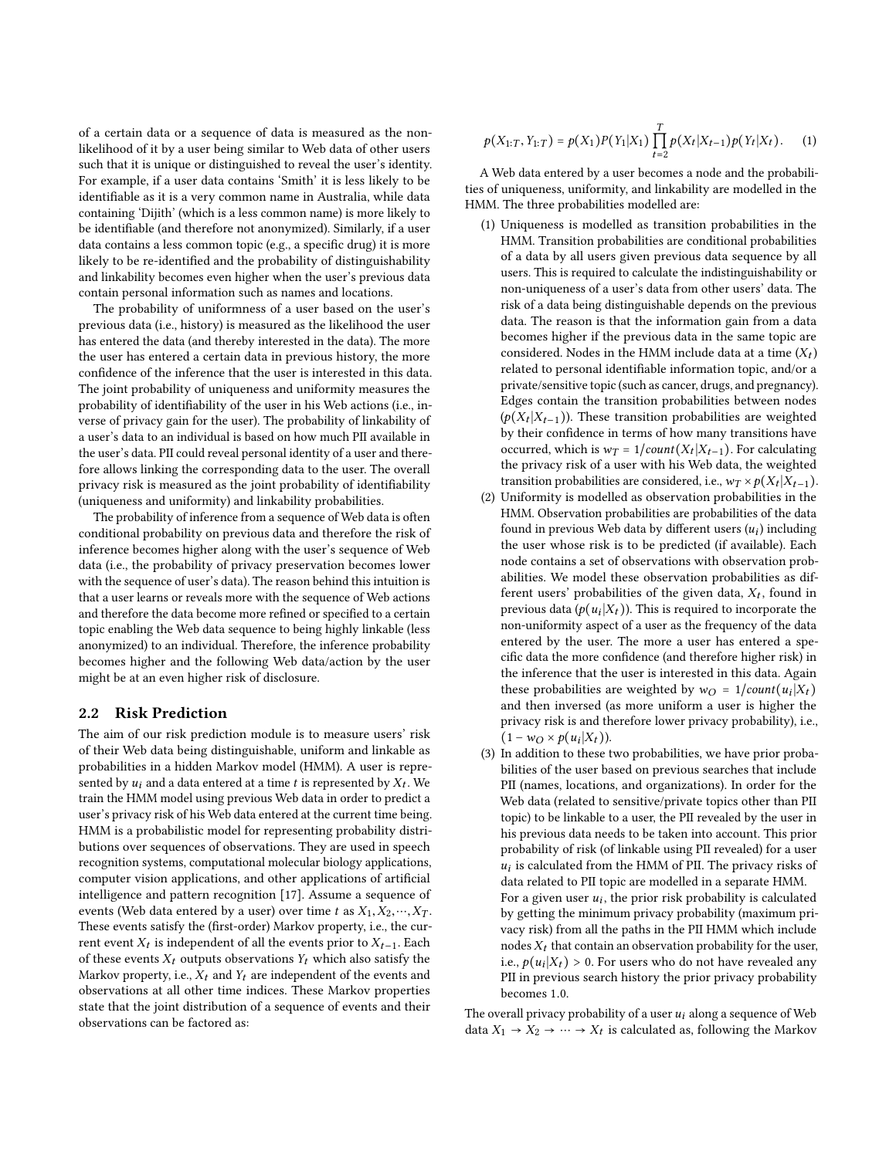of a certain data or a sequence of data is measured as the nonlikelihood of it by a user being similar to Web data of other users such that it is unique or distinguished to reveal the user's identity. For example, if a user data contains 'Smith' it is less likely to be identifiable as it is a very common name in Australia, while data containing 'Dijith' (which is a less common name) is more likely to be identifiable (and therefore not anonymized). Similarly, if a user data contains a less common topic (e.g., a specific drug) it is more likely to be re-identified and the probability of distinguishability and linkability becomes even higher when the user's previous data contain personal information such as names and locations.

The probability of uniformness of a user based on the user's previous data (i.e., history) is measured as the likelihood the user has entered the data (and thereby interested in the data). The more the user has entered a certain data in previous history, the more confidence of the inference that the user is interested in this data. The joint probability of uniqueness and uniformity measures the probability of identifiability of the user in his Web actions (i.e., inverse of privacy gain for the user). The probability of linkability of a user's data to an individual is based on how much PII available in the user's data. PII could reveal personal identity of a user and therefore allows linking the corresponding data to the user. The overall privacy risk is measured as the joint probability of identifiability (uniqueness and uniformity) and linkability probabilities.

The probability of inference from a sequence of Web data is often conditional probability on previous data and therefore the risk of inference becomes higher along with the user's sequence of Web data (i.e., the probability of privacy preservation becomes lower with the sequence of user's data). The reason behind this intuition is that a user learns or reveals more with the sequence of Web actions and therefore the data become more refined or specified to a certain topic enabling the Web data sequence to being highly linkable (less anonymized) to an individual. Therefore, the inference probability becomes higher and the following Web data/action by the user might be at an even higher risk of disclosure.

#### 2.2 Risk Prediction

The aim of our risk prediction module is to measure users' risk of their Web data being distinguishable, uniform and linkable as probabilities in a hidden Markov model (HMM). A user is represented by  $u_i$  and a data entered at a time t is represented by  $X_t$ . We train the HMM model using previous Web data in order to predict a user's privacy risk of his Web data entered at the current time being. HMM is a probabilistic model for representing probability distributions over sequences of observations. They are used in speech recognition systems, computational molecular biology applications, computer vision applications, and other applications of artificial intelligence and pattern recognition [\[17\]](#page-9-11). Assume a sequence of events (Web data entered by a user) over time t as  $X_1, X_2, \dots, X_T$ . These events satisfy the (first-order) Markov property, i.e., the current event  $X_t$  is independent of all the events prior to  $X_{t-1}$ . Each of these events  $X_t$  outputs observations  $Y_t$  which also satisfy the Markov property, i.e.,  $X_t$  and  $Y_t$  are independent of the events and observations at all other time indices. These Markov properties state that the joint distribution of a sequence of events and their observations can be factored as:

<span id="page-2-0"></span>
$$
p(X_{1:T}, Y_{1:T}) = p(X_1)P(Y_1|X_1) \prod_{t=2}^{T} p(X_t|X_{t-1})p(Y_t|X_t).
$$
 (1)

A Web data entered by a user becomes a node and the probabilities of uniqueness, uniformity, and linkability are modelled in the HMM. The three probabilities modelled are:

- (1) Uniqueness is modelled as transition probabilities in the HMM. Transition probabilities are conditional probabilities of a data by all users given previous data sequence by all users. This is required to calculate the indistinguishability or non-uniqueness of a user's data from other users' data. The risk of a data being distinguishable depends on the previous data. The reason is that the information gain from a data becomes higher if the previous data in the same topic are considered. Nodes in the HMM include data at a time  $(X_t)$ related to personal identifiable information topic, and/or a private/sensitive topic (such as cancer, drugs, and pregnancy). Edges contain the transition probabilities between nodes  $(p(X_t | X_{t-1}))$ . These transition probabilities are weighted by their confidence in terms of how many transitions have occurred, which is  $w_T = 1/count(X_t | X_{t-1})$ . For calculating the privacy risk of a user with his Web data, the weighted transition probabilities are considered, i.e.,  $w_T \times p(X_t | X_{t-1})$ .
- (2) Uniformity is modelled as observation probabilities in the HMM. Observation probabilities are probabilities of the data found in previous Web data by different users  $(u_i)$  including<br>the user whose risk is to be predicted (if available). Each the user whose risk is to be predicted (if available). Each node contains a set of observations with observation probabilities. We model these observation probabilities as different users' probabilities of the given data,  $X_t$ , found in previous data  $(p(u_i|X_t))$ . This is required to incorporate the<br>non-uniformity aspect of a user as the frequency of the data non-uniformity aspect of a user as the frequency of the data entered by the user. The more a user has entered a specific data the more confidence (and therefore higher risk) in the inference that the user is interested in this data. Again these probabilities are weighted by  $w_O = 1/count(u_i|X_t)$ <br>and then inversed (as more uniform a user is higher the and then inversed (as more uniform a user is higher the privacy risk is and therefore lower privacy probability), i.e.,  $(1 - w_O \times p(u_i|X_t)).$
- (3) In addition to these two probabilities, we have prior probabilities of the user based on previous searches that include PII (names, locations, and organizations). In order for the Web data (related to sensitive/private topics other than PII topic) to be linkable to a user, the PII revealed by the user in his previous data needs to be taken into account. This prior probability of risk (of linkable using PII revealed) for a user ui data related to PII topic are modelled in a separate HMM.  $u_i$  is calculated from the HMM of PII. The privacy risks of For a given user  $u_i$ , the prior risk probability is calculated<br>by getting the minimum privacy probability (maximum prior by getting the minimum privacy probability (maximum privacy risk) from all the paths in the PII HMM which include nodes  $X_t$  that contain an observation probability for the user, i.e.,  $p(u_i|X_t) > 0$ . For users who do not have revealed any<br>PII in previous search history the prior privacy probability PII in previous search history the prior privacy probability becomes <sup>1</sup>.0.

The overall privacy probability of a user  $u_i$  along a sequence of Web data  $X_1 \rightarrow X_2 \rightarrow \cdots \rightarrow X_t$  is calculated as, following the Markov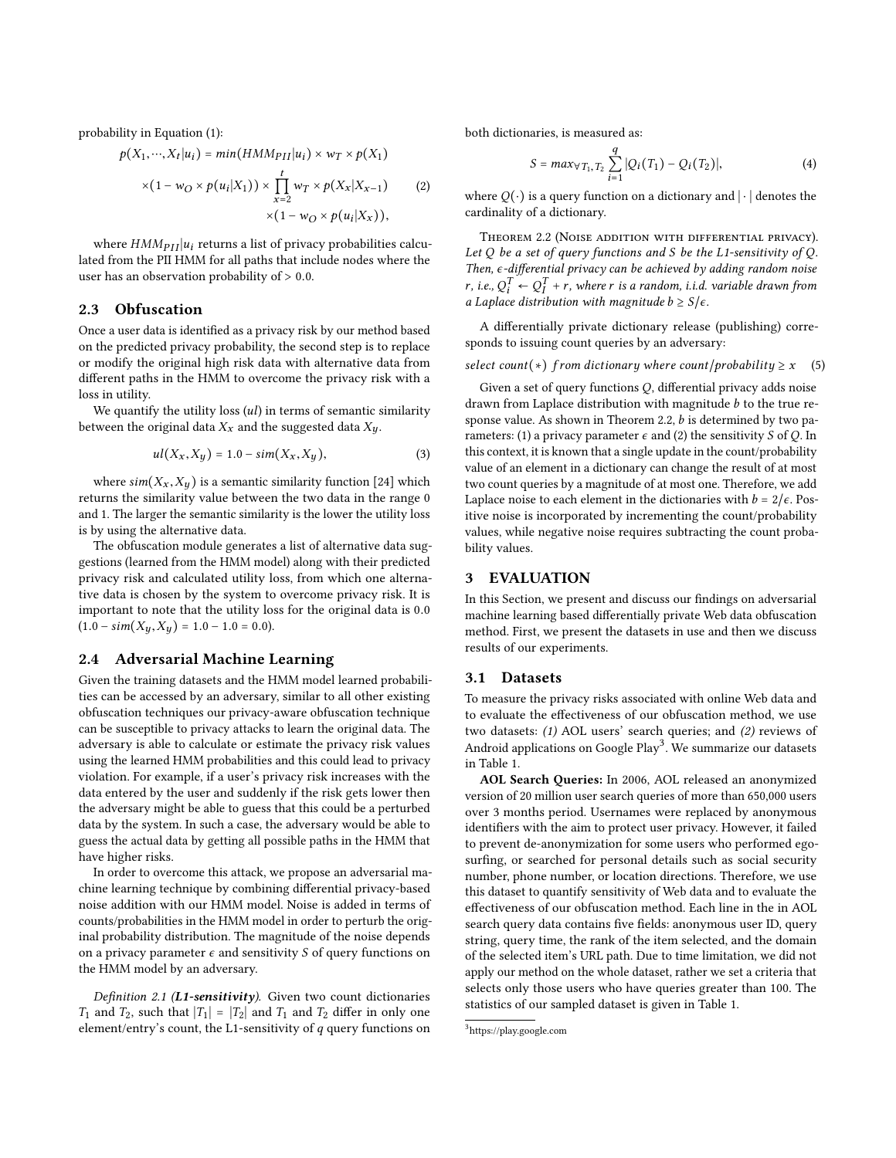probability in Equation [\(1\)](#page-2-0):

$$
p(X_1, \cdots, X_t | u_i) = min(HMM_{PII} | u_i) \times w_T \times p(X_1)
$$
  
 
$$
\times (1 - w_0 \times p(u_1 | X_1)) \times \prod_{i=1}^t w_i \times p(X_i | X_{i-1})
$$

$$
\times (1 - w_O \times p(u_i|X_1)) \times \prod_{x=2} w_T \times p(X_x|X_{x-1}) \qquad (2)
$$
  
 
$$
\times (1 - w_O \times p(u_i|X_x)),
$$

where  $HMM_{PII} | u_i$  returns a list of privacy probabilities calculated from the PII HMM for all paths that include nodes where the user has an observation probability of <sup>&</sup>gt; <sup>0</sup>.0.

#### 2.3 Obfuscation

Once a user data is identified as a privacy risk by our method based on the predicted privacy probability, the second step is to replace or modify the original high risk data with alternative data from different paths in the HMM to overcome the privacy risk with a loss in utility.

We quantify the utility loss  $(ul)$  in terms of semantic similarity between the original data  $X_x$  and the suggested data  $X_y$ .

$$
ul(X_x, X_y) = 1.0 - sim(X_x, X_y),
$$
\n(3)

where  $sim(X_x, X_y)$  is a semantic similarity function [\[24\]](#page-9-12) which returns the similarity value between the two data in the range 0 and 1. The larger the semantic similarity is the lower the utility loss is by using the alternative data.

The obfuscation module generates a list of alternative data suggestions (learned from the HMM model) along with their predicted privacy risk and calculated utility loss, from which one alternative data is chosen by the system to overcome privacy risk. It is important to note that the utility loss for the original data is <sup>0</sup>.<sup>0</sup>  $(1.0 - \text{sim}(X_y, X_y) = 1.0 - 1.0 = 0.0).$ 

## 2.4 Adversarial Machine Learning

Given the training datasets and the HMM model learned probabilities can be accessed by an adversary, similar to all other existing obfuscation techniques our privacy-aware obfuscation technique can be susceptible to privacy attacks to learn the original data. The adversary is able to calculate or estimate the privacy risk values using the learned HMM probabilities and this could lead to privacy violation. For example, if a user's privacy risk increases with the data entered by the user and suddenly if the risk gets lower then the adversary might be able to guess that this could be a perturbed data by the system. In such a case, the adversary would be able to guess the actual data by getting all possible paths in the HMM that have higher risks.

In order to overcome this attack, we propose an adversarial machine learning technique by combining differential privacy-based noise addition with our HMM model. Noise is added in terms of counts/probabilities in the HMM model in order to perturb the original probability distribution. The magnitude of the noise depends on a privacy parameter  $\epsilon$  and sensitivity S of query functions on the HMM model by an adversary.

Definition 2.1 (L1-sensitivity). Given two count dictionaries  $T_1$  and  $T_2$ , such that  $|T_1| = |T_2|$  and  $T_1$  and  $T_2$  differ in only one element/entry's count, the L1-sensitivity of  $q$  query functions on both dictionaries, is measured as:

$$
S = max_{\forall T_1, T_2} \sum_{i=1}^{q} |Q_i(T_1) - Q_i(T_2)|,
$$
 (4)

where  $Q(\cdot)$  is a query function on a dictionary and  $|\cdot|$  denotes the cardinality of a dictionary.

<span id="page-3-2"></span>Theorem 2.2 (Noise addition with differential privacy). Let  $Q$  be a set of query functions and  $S$  be the L1-sensitivity of  $Q$ . Then,  $ε$ -differential privacy can be achieved by adding random noise r, i.e.,  $Q_i^1 \leftarrow Q_I^1 + r$ , where r is a random, i.i.d. variable drawn from<br>a Laplace distribution with magnitude b > SL a Laplace distribution with magnitude  $b \geq S/\epsilon$ .

A differentially private dictionary release (publishing) corresponds to issuing count queries by an adversary:

#### select count(\*) from dictionary where count/probability  $\geq x$  (5)

Given a set of query functions  $Q$ , differential privacy adds noise drawn from Laplace distribution with magnitude  $b$  to the true re-sponse value. As shown in Theorem [2.2,](#page-3-2)  $b$  is determined by two parameters: (1) a privacy parameter  $\epsilon$  and (2) the sensitivity S of Q. In this context, it is known that a single update in the count/probability value of an element in a dictionary can change the result of at most two count queries by a magnitude of at most one. Therefore, we add Laplace noise to each element in the dictionaries with  $b = 2/\epsilon$ . Positive noise is incorporated by incrementing the count/probability values, while negative noise requires subtracting the count probability values.

### <span id="page-3-0"></span>3 EVALUATION

In this Section, we present and discuss our findings on adversarial machine learning based differentially private Web data obfuscation method. First, we present the datasets in use and then we discuss results of our experiments.

#### <span id="page-3-1"></span>3.1 Datasets

To measure the privacy risks associated with online Web data and to evaluate the effectiveness of our obfuscation method, we use two datasets: (1) AOL users' search queries; and (2) reviews of Android applications on Google  $Play^3$  $Play^3$ . We summarize our datasets in Table [1.](#page-4-1)

AOL Search Queries: In 2006, AOL released an anonymized version of 20 million user search queries of more than 650,000 users over 3 months period. Usernames were replaced by anonymous identifiers with the aim to protect user privacy. However, it failed to prevent de-anonymization for some users who performed egosurfing, or searched for personal details such as social security number, phone number, or location directions. Therefore, we use this dataset to quantify sensitivity of Web data and to evaluate the effectiveness of our obfuscation method. Each line in the in AOL search query data contains five fields: anonymous user ID, query string, query time, the rank of the item selected, and the domain of the selected item's URL path. Due to time limitation, we did not apply our method on the whole dataset, rather we set a criteria that selects only those users who have queries greater than 100. The statistics of our sampled dataset is given in Table [1.](#page-4-1)

<span id="page-3-3"></span><sup>3</sup> <https://play.google.com>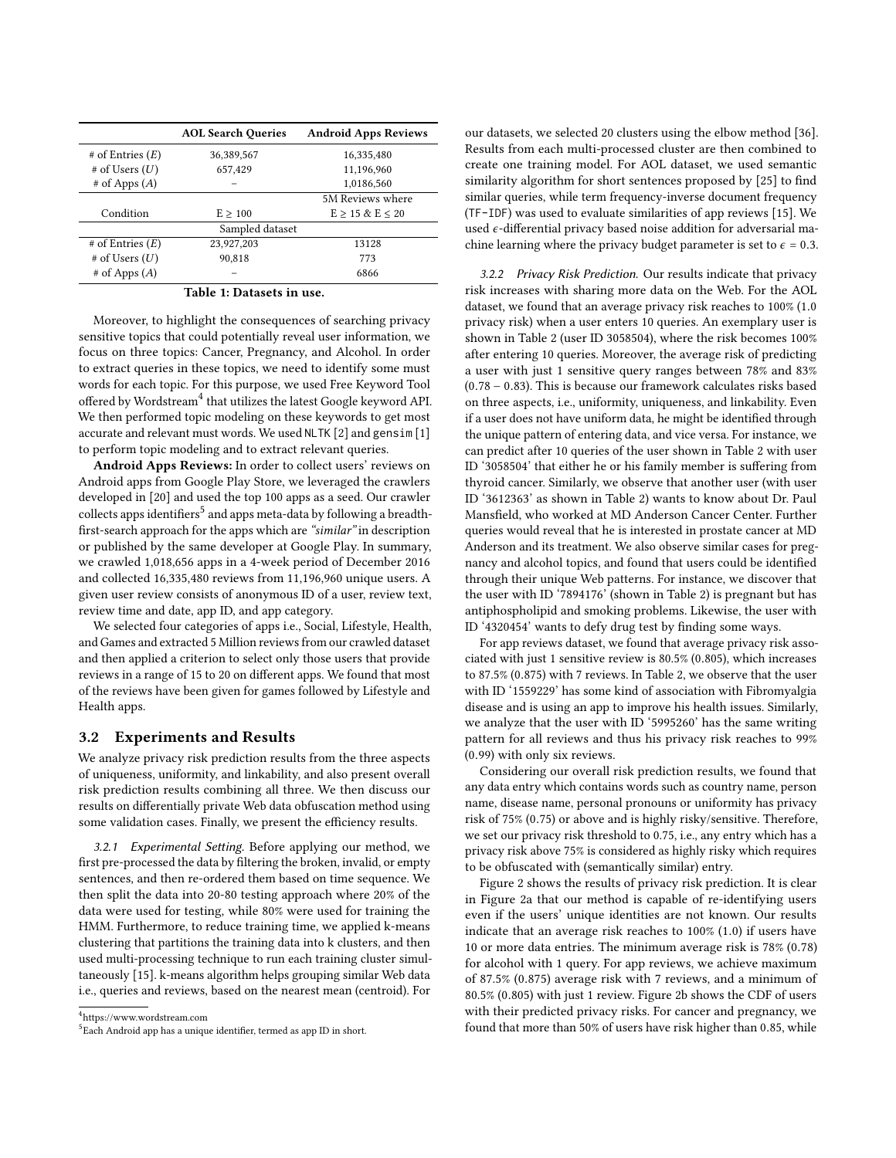<span id="page-4-1"></span>

|                      | <b>AOL Search Queries</b> | <b>Android Apps Reviews</b> |  |  |  |
|----------------------|---------------------------|-----------------------------|--|--|--|
| $#$ of Entries $(E)$ | 36,389,567                | 16,335,480                  |  |  |  |
| $#$ of Users $(U)$   | 657,429                   | 11,196,960                  |  |  |  |
| $#$ of Apps $(A)$    |                           | 1,0186,560                  |  |  |  |
|                      |                           | 5M Reviews where            |  |  |  |
| Condition            | E > 100                   | $E > 15 \& E < 20$          |  |  |  |
| Sampled dataset      |                           |                             |  |  |  |
| $#$ of Entries $(E)$ | 23,927,203                | 13128                       |  |  |  |
| $#$ of Users $(U)$   | 90,818                    | 773                         |  |  |  |
| $#$ of Apps $(A)$    |                           | 6866                        |  |  |  |

Table 1: Datasets in use.

Moreover, to highlight the consequences of searching privacy sensitive topics that could potentially reveal user information, we focus on three topics: Cancer, Pregnancy, and Alcohol. In order to extract queries in these topics, we need to identify some must words for each topic. For this purpose, we used Free Keyword Tool  $\frac{1}{2}$  offered by Wordstream<sup>[4](#page-4-2)</sup> that utilizes the latest Google keyword API. We then performed topic modeling on these keywords to get most accurate and relevant must words. We used NLTK [\[2\]](#page-9-13) and gensim [\[1\]](#page-9-14) to perform topic modeling and to extract relevant queries.

Android Apps Reviews: In order to collect users' reviews on Android apps from Google Play Store, we leveraged the crawlers developed in [\[20\]](#page-9-15) and used the top 100 apps as a seed. Our crawler  $\frac{1}{10}$  collects apps identifiers<sup>[5](#page-4-3)</sup> and apps meta-data by following a breadthfirst-search approach for the apps which are "similar" in description or published by the same developer at Google Play. In summary, we crawled 1,018,656 apps in a 4-week period of December 2016 and collected 16,335,480 reviews from 11,196,960 unique users. A given user review consists of anonymous ID of a user, review text, review time and date, app ID, and app category.

We selected four categories of apps i.e., Social, Lifestyle, Health, and Games and extracted 5 Million reviews from our crawled dataset and then applied a criterion to select only those users that provide reviews in a range of 15 to 20 on different apps. We found that most of the reviews have been given for games followed by Lifestyle and Health apps.

#### <span id="page-4-0"></span>3.2 Experiments and Results

We analyze privacy risk prediction results from the three aspects of uniqueness, uniformity, and linkability, and also present overall risk prediction results combining all three. We then discuss our results on differentially private Web data obfuscation method using some validation cases. Finally, we present the efficiency results.

3.2.1 Experimental Setting. Before applying our method, we first pre-processed the data by filtering the broken, invalid, or empty sentences, and then re-ordered them based on time sequence. We then split the data into 20-80 testing approach where 20% of the data were used for testing, while 80% were used for training the HMM. Furthermore, to reduce training time, we applied k-means clustering that partitions the training data into k clusters, and then used multi-processing technique to run each training cluster simultaneously [\[15\]](#page-9-16). k-means algorithm helps grouping similar Web data i.e., queries and reviews, based on the nearest mean (centroid). For

<span id="page-4-2"></span>4 https://www.wordstream.com

our datasets, we selected 20 clusters using the elbow method [\[36\]](#page-9-17). Results from each multi-processed cluster are then combined to create one training model. For AOL dataset, we used semantic similarity algorithm for short sentences proposed by [\[25\]](#page-9-18) to find similar queries, while term frequency-inverse document frequency (TF-IDF) was used to evaluate similarities of app reviews [\[15\]](#page-9-16). We used  $\epsilon$ -differential privacy based noise addition for adversarial machine learning where the privacy budget parameter is set to  $\epsilon = 0.3$ .

3.2.2 Privacy Risk Prediction. Our results indicate that privacy risk increases with sharing more data on the Web. For the AOL dataset, we found that an average privacy risk reaches to 100% (1.<sup>0</sup> privacy risk) when a user enters 10 queries. An exemplary user is shown in Table [2](#page-5-0) (user ID 3058504), where the risk becomes 100% after entering 10 queries. Moreover, the average risk of predicting a user with just 1 sensitive query ranges between 78% and 83% (0.<sup>78</sup> <sup>−</sup> <sup>0</sup>.83). This is because our framework calculates risks based on three aspects, i.e., uniformity, uniqueness, and linkability. Even if a user does not have uniform data, he might be identified through the unique pattern of entering data, and vice versa. For instance, we can predict after 10 queries of the user shown in Table [2](#page-5-0) with user ID '3058504' that either he or his family member is suffering from thyroid cancer. Similarly, we observe that another user (with user ID '3612363' as shown in Table [2\)](#page-5-0) wants to know about Dr. Paul Mansfield, who worked at MD Anderson Cancer Center. Further queries would reveal that he is interested in prostate cancer at MD Anderson and its treatment. We also observe similar cases for pregnancy and alcohol topics, and found that users could be identified through their unique Web patterns. For instance, we discover that the user with ID '7894176' (shown in Table [2\)](#page-5-0) is pregnant but has antiphospholipid and smoking problems. Likewise, the user with ID '4320454' wants to defy drug test by finding some ways.

For app reviews dataset, we found that average privacy risk associated with just 1 sensitive review is 80.5% (0.805), which increases to 87.5% (0.875) with 7 reviews. In Table [2,](#page-5-0) we observe that the user with ID '1559229' has some kind of association with Fibromyalgia disease and is using an app to improve his health issues. Similarly, we analyze that the user with ID '5995260' has the same writing pattern for all reviews and thus his privacy risk reaches to 99% (0.99) with only six reviews.

Considering our overall risk prediction results, we found that any data entry which contains words such as country name, person name, disease name, personal pronouns or uniformity has privacy risk of 75% (0.75) or above and is highly risky/sensitive. Therefore, we set our privacy risk threshold to 0.75, i.e., any entry which has a privacy risk above 75% is considered as highly risky which requires to be obfuscated with (semantically similar) entry.

Figure [2](#page-5-1) shows the results of privacy risk prediction. It is clear in Figure [2a](#page-5-2) that our method is capable of re-identifying users even if the users' unique identities are not known. Our results indicate that an average risk reaches to 100% (1.0) if users have 10 or more data entries. The minimum average risk is 78% (0.78) for alcohol with 1 query. For app reviews, we achieve maximum of 87.5% (0.875) average risk with 7 reviews, and a minimum of 80.5% (0.805) with just 1 review. Figure [2b](#page-5-3) shows the CDF of users with their predicted privacy risks. For cancer and pregnancy, we found that more than 50% of users have risk higher than <sup>0</sup>.85, while

<span id="page-4-3"></span> $^5$ Each Android app has a unique identifier, termed as app ID in short.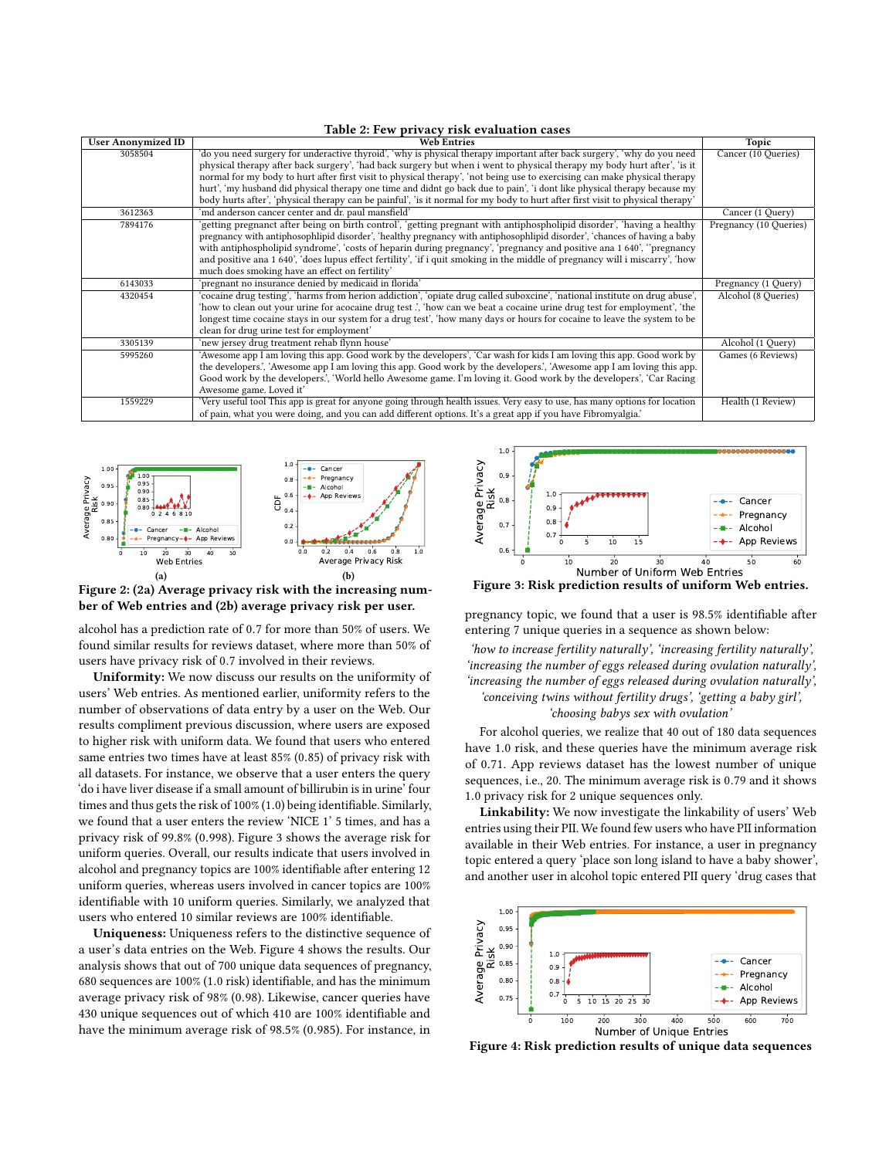<span id="page-5-0"></span>

| Table 2: Few privacy risk evaluation cases |                                                                                                                                |                        |  |  |  |
|--------------------------------------------|--------------------------------------------------------------------------------------------------------------------------------|------------------------|--|--|--|
| <b>User Anonymized ID</b>                  | <b>Web Entries</b>                                                                                                             | Topic                  |  |  |  |
| 3058504                                    | 'do you need surgery for underactive thyroid', 'why is physical therapy important after back surgery', 'why do you need        | Cancer (10 Queries)    |  |  |  |
|                                            | physical therapy after back surgery', 'had back surgery but when i went to physical therapy my body hurt after', 'is it        |                        |  |  |  |
|                                            | normal for my body to hurt after first visit to physical therapy', 'not being use to exercising can make physical therapy      |                        |  |  |  |
|                                            | hurt', 'my husband did physical therapy one time and didnt go back due to pain', 'i dont like physical therapy because my      |                        |  |  |  |
|                                            | body hurts after', 'physical therapy can be painful', 'is it normal for my body to hurt after first visit to physical therapy' |                        |  |  |  |
| 3612363                                    | 'md anderson cancer center and dr. paul mansfield'                                                                             | Cancer (1 Query)       |  |  |  |
| 7894176                                    | 'getting pregnanct after being on birth control', 'getting pregnant with antiphospholipid disorder', 'having a healthy         | Pregnancy (10 Queries) |  |  |  |
|                                            | pregnancy with antiphosophlipid disorder', 'healthy pregnancy with antiphosophlipid disorder', 'chances of having a baby       |                        |  |  |  |
|                                            | with antiphospholipid syndrome', 'costs of heparin during pregnancy', 'pregnancy and positive ana 1 640', ''pregnancy          |                        |  |  |  |
|                                            | and positive ana 1 640', 'does lupus effect fertility', 'if i quit smoking in the middle of pregnancy will i miscarry', 'how   |                        |  |  |  |
|                                            | much does smoking have an effect on fertility'                                                                                 |                        |  |  |  |
| 6143033                                    | pregnant no insurance denied by medicaid in florida'                                                                           | Pregnancy (1 Query)    |  |  |  |
| 4320454                                    | 'cocaine drug testing', 'harms from herion addiction', 'opiate drug called suboxcine', 'national institute on drug abuse',     | Alcohol (8 Queries)    |  |  |  |
|                                            | 'how to clean out your urine for acocaine drug test ', 'how can we beat a cocaine urine drug test for employment', 'the        |                        |  |  |  |
|                                            | longest time cocaine stays in our system for a drug test', 'how many days or hours for cocaine to leave the system to be       |                        |  |  |  |
|                                            | clean for drug urine test for employment'                                                                                      |                        |  |  |  |
| 3305139                                    | 'new jersey drug treatment rehab flynn house'                                                                                  | Alcohol (1 Query)      |  |  |  |
| 5995260                                    | 'Awesome app I am loving this app. Good work by the developers', 'Car wash for kids I am loving this app. Good work by         | Games (6 Reviews)      |  |  |  |
|                                            | the developers.', 'Awesome app I am loving this app. Good work by the developers.', 'Awesome app I am loving this app.         |                        |  |  |  |
|                                            | Good work by the developers', 'World hello Awesome game. I'm loving it. Good work by the developers', 'Car Racing              |                        |  |  |  |
|                                            | Awesome game. Loved it'                                                                                                        |                        |  |  |  |
| 1559229                                    | 'Very useful tool This app is great for anyone going through health issues. Very easy to use, has many options for location    | Health (1 Review)      |  |  |  |
|                                            | of pain, what you were doing, and you can add different options. It's a great app if you have Fibromyalgia.'                   |                        |  |  |  |

<span id="page-5-2"></span><span id="page-5-1"></span>

<span id="page-5-3"></span>Figure 2: [\(2a\)](#page-5-2) Average privacy risk with the increasing number of Web entries and [\(2b\)](#page-5-3) average privacy risk per user.

alcohol has a prediction rate of <sup>0</sup>.<sup>7</sup> for more than 50% of users. We found similar results for reviews dataset, where more than 50% of users have privacy risk of <sup>0</sup>.<sup>7</sup> involved in their reviews.

Uniformity: We now discuss our results on the uniformity of users' Web entries. As mentioned earlier, uniformity refers to the number of observations of data entry by a user on the Web. Our results compliment previous discussion, where users are exposed to higher risk with uniform data. We found that users who entered same entries two times have at least 85% (0.85) of privacy risk with all datasets. For instance, we observe that a user enters the query 'do i have liver disease if a small amount of billirubin is in urine' four times and thus gets the risk of 100% (1.0) being identifiable. Similarly, we found that a user enters the review 'NICE 1' 5 times, and has a privacy risk of 99.8% (0.998). Figure [3](#page-5-4) shows the average risk for uniform queries. Overall, our results indicate that users involved in alcohol and pregnancy topics are 100% identifiable after entering 12 uniform queries, whereas users involved in cancer topics are 100% identifiable with 10 uniform queries. Similarly, we analyzed that users who entered 10 similar reviews are 100% identifiable.

Uniqueness: Uniqueness refers to the distinctive sequence of a user's data entries on the Web. Figure [4](#page-5-5) shows the results. Our analysis shows that out of 700 unique data sequences of pregnancy, 680 sequences are 100% (1.<sup>0</sup> risk) identifiable, and has the minimum average privacy risk of 98% (0.98). Likewise, cancer queries have 430 unique sequences out of which 410 are 100% identifiable and have the minimum average risk of 98.5% (0.985). For instance, in

<span id="page-5-4"></span>

Figure 3: Risk prediction results of uniform Web entries.

pregnancy topic, we found that a user is 98.5% identifiable after entering 7 unique queries in a sequence as shown below:

'how to increase fertility naturally', 'increasing fertility naturally', 'increasing the number of eggs released during ovulation naturally', 'increasing the number of eggs released during ovulation naturally', 'conceiving twins without fertility drugs', 'getting a baby girl',

'choosing babys sex with ovulation'

For alcohol queries, we realize that 40 out of 180 data sequences have <sup>1</sup>.<sup>0</sup> risk, and these queries have the minimum average risk of <sup>0</sup>.71. App reviews dataset has the lowest number of unique sequences, i.e., 20. The minimum average risk is <sup>0</sup>.<sup>79</sup> and it shows <sup>1</sup>.<sup>0</sup> privacy risk for 2 unique sequences only.

Linkability: We now investigate the linkability of users' Web entries using their PII. We found few users who have PII information available in their Web entries. For instance, a user in pregnancy topic entered a query 'place son long island to have a baby shower', and another user in alcohol topic entered PII query 'drug cases that

<span id="page-5-5"></span>

Figure 4: Risk prediction results of unique data sequences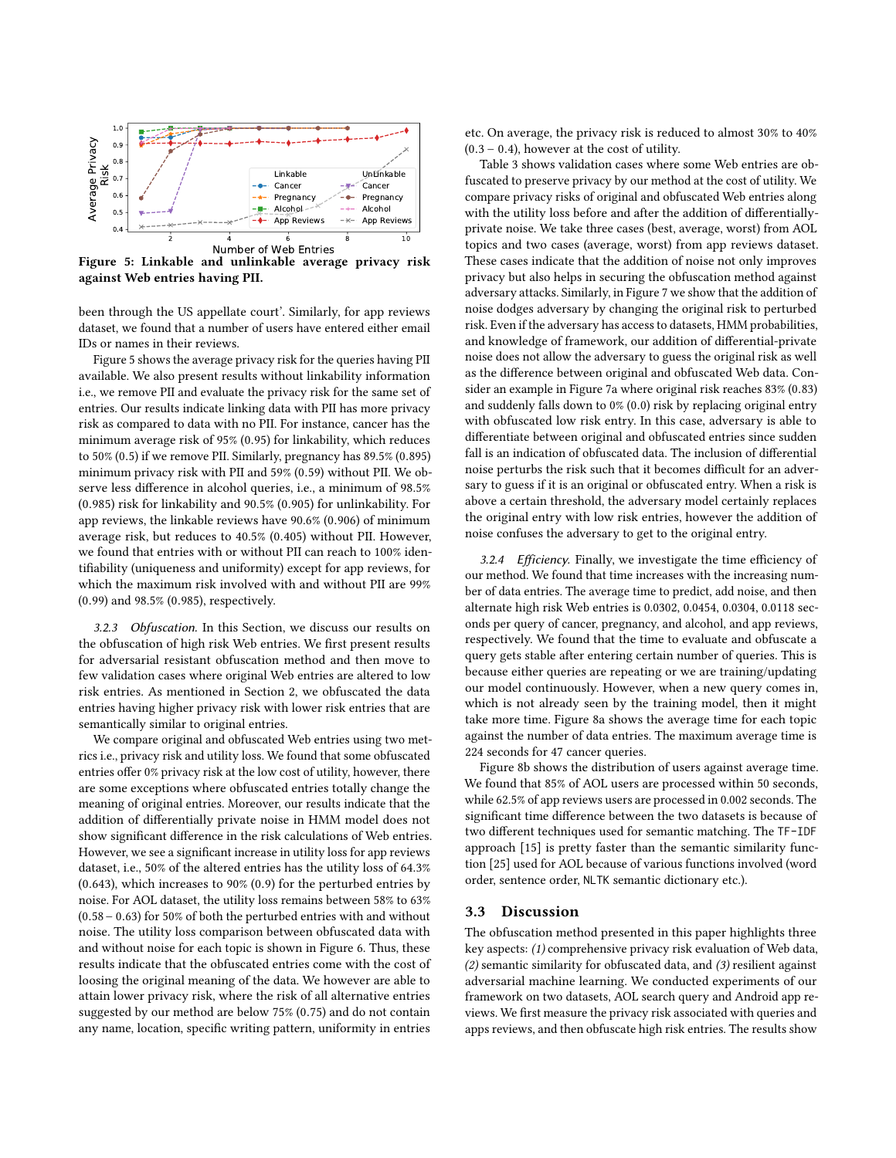<span id="page-6-1"></span>

Figure 5: Linkable and unlinkable average privacy risk against Web entries having PII.

been through the US appellate court'. Similarly, for app reviews dataset, we found that a number of users have entered either email IDs or names in their reviews.

Figure [5](#page-6-1) shows the average privacy risk for the queries having PII available. We also present results without linkability information i.e., we remove PII and evaluate the privacy risk for the same set of entries. Our results indicate linking data with PII has more privacy risk as compared to data with no PII. For instance, cancer has the minimum average risk of 95% (0.95) for linkability, which reduces to 50% (0.5) if we remove PII. Similarly, pregnancy has 89.5% (0.895) minimum privacy risk with PII and 59% (0.59) without PII. We observe less difference in alcohol queries, i.e., a minimum of 98.5% (0.985) risk for linkability and 90.5% (0.905) for unlinkability. For app reviews, the linkable reviews have 90.6% (0.906) of minimum average risk, but reduces to 40.5% (0.405) without PII. However, we found that entries with or without PII can reach to 100% identifiability (uniqueness and uniformity) except for app reviews, for which the maximum risk involved with and without PII are 99% (0.99) and 98.5% (0.985), respectively.

3.2.3 Obfuscation. In this Section, we discuss our results on the obfuscation of high risk Web entries. We first present results for adversarial resistant obfuscation method and then move to few validation cases where original Web entries are altered to low risk entries. As mentioned in Section [2,](#page-1-2) we obfuscated the data entries having higher privacy risk with lower risk entries that are semantically similar to original entries.

We compare original and obfuscated Web entries using two metrics i.e., privacy risk and utility loss. We found that some obfuscated entries offer 0% privacy risk at the low cost of utility, however, there are some exceptions where obfuscated entries totally change the meaning of original entries. Moreover, our results indicate that the addition of differentially private noise in HMM model does not show significant difference in the risk calculations of Web entries. However, we see a significant increase in utility loss for app reviews dataset, i.e., 50% of the altered entries has the utility loss of 64.3% (0.643), which increases to 90% (0.9) for the perturbed entries by noise. For AOL dataset, the utility loss remains between 58% to 63% (0.58−0.63) for 50% of both the perturbed entries with and without noise. The utility loss comparison between obfuscated data with and without noise for each topic is shown in Figure [6.](#page-7-0) Thus, these results indicate that the obfuscated entries come with the cost of loosing the original meaning of the data. We however are able to attain lower privacy risk, where the risk of all alternative entries suggested by our method are below 75% (0.75) and do not contain any name, location, specific writing pattern, uniformity in entries

etc. On average, the privacy risk is reduced to almost 30% to 40%  $(0.3 - 0.4)$ , however at the cost of utility.

Table [3](#page-7-1) shows validation cases where some Web entries are obfuscated to preserve privacy by our method at the cost of utility. We compare privacy risks of original and obfuscated Web entries along with the utility loss before and after the addition of differentiallyprivate noise. We take three cases (best, average, worst) from AOL topics and two cases (average, worst) from app reviews dataset. These cases indicate that the addition of noise not only improves privacy but also helps in securing the obfuscation method against adversary attacks. Similarly, in Figure [7](#page-7-2) we show that the addition of noise dodges adversary by changing the original risk to perturbed risk. Even if the adversary has access to datasets, HMM probabilities, and knowledge of framework, our addition of differential-private noise does not allow the adversary to guess the original risk as well as the difference between original and obfuscated Web data. Consider an example in Figure [7a](#page-7-3) where original risk reaches 83% (0.83) and suddenly falls down to 0% (0.0) risk by replacing original entry with obfuscated low risk entry. In this case, adversary is able to differentiate between original and obfuscated entries since sudden fall is an indication of obfuscated data. The inclusion of differential noise perturbs the risk such that it becomes difficult for an adversary to guess if it is an original or obfuscated entry. When a risk is above a certain threshold, the adversary model certainly replaces the original entry with low risk entries, however the addition of noise confuses the adversary to get to the original entry.

3.2.4 Efficiency. Finally, we investigate the time efficiency of our method. We found that time increases with the increasing number of data entries. The average time to predict, add noise, and then alternate high risk Web entries is 0.0302, 0.0454, 0.0304, 0.0118 seconds per query of cancer, pregnancy, and alcohol, and app reviews, respectively. We found that the time to evaluate and obfuscate a query gets stable after entering certain number of queries. This is because either queries are repeating or we are training/updating our model continuously. However, when a new query comes in, which is not already seen by the training model, then it might take more time. Figure [8a](#page-7-4) shows the average time for each topic against the number of data entries. The maximum average time is 224 seconds for 47 cancer queries.

Figure [8b](#page-7-5) shows the distribution of users against average time. We found that 85% of AOL users are processed within 50 seconds, while 62.5% of app reviews users are processed in 0.002 seconds. The significant time difference between the two datasets is because of two different techniques used for semantic matching. The TF-IDF approach [\[15\]](#page-9-16) is pretty faster than the semantic similarity function [\[25\]](#page-9-18) used for AOL because of various functions involved (word order, sentence order, NLTK semantic dictionary etc.).

#### <span id="page-6-0"></span>3.3 Discussion

The obfuscation method presented in this paper highlights three key aspects: (1) comprehensive privacy risk evaluation of Web data, (2) semantic similarity for obfuscated data, and (3) resilient against adversarial machine learning. We conducted experiments of our framework on two datasets, AOL search query and Android app reviews. We first measure the privacy risk associated with queries and apps reviews, and then obfuscate high risk entries. The results show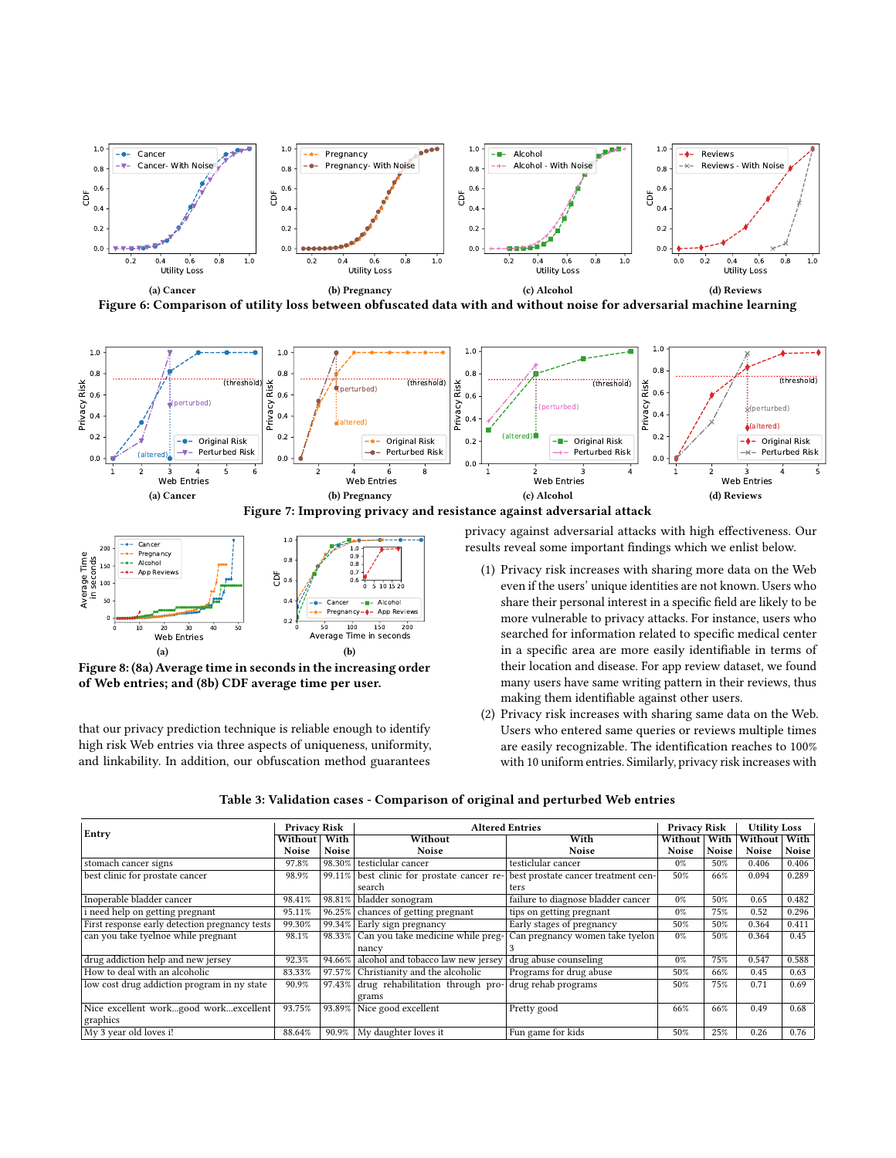<span id="page-7-0"></span>



<span id="page-7-3"></span><span id="page-7-2"></span>

<span id="page-7-5"></span>Figure 7: Improving privacy and resistance against adversarial attack

<span id="page-7-4"></span>

Figure 8: [\(8a\)](#page-7-4) Average time in seconds in the increasing order of Web entries; and [\(8b\)](#page-7-5) CDF average time per user.

that our privacy prediction technique is reliable enough to identify high risk Web entries via three aspects of uniqueness, uniformity, and linkability. In addition, our obfuscation method guarantees

privacy against adversarial attacks with high effectiveness. Our results reveal some important findings which we enlist below.

- (1) Privacy risk increases with sharing more data on the Web even if the users' unique identities are not known. Users who share their personal interest in a specific field are likely to be more vulnerable to privacy attacks. For instance, users who searched for information related to specific medical center in a specific area are more easily identifiable in terms of their location and disease. For app review dataset, we found many users have same writing pattern in their reviews, thus making them identifiable against other users.
- (2) Privacy risk increases with sharing same data on the Web. Users who entered same queries or reviews multiple times are easily recognizable. The identification reaches to 100% with 10 uniform entries. Similarly, privacy risk increases with

|  |  | Table 3: Validation cases - Comparison of original and perturbed Web entries |
|--|--|------------------------------------------------------------------------------|
|--|--|------------------------------------------------------------------------------|

<span id="page-7-1"></span>

| Entry                                          | <b>Privacy Risk</b> |           | <b>Altered Entries</b>                   |                                     | Privacy Risk |       | <b>Utility Loss</b> |              |
|------------------------------------------------|---------------------|-----------|------------------------------------------|-------------------------------------|--------------|-------|---------------------|--------------|
|                                                | Without             | With      | Without                                  | With                                | Without      | With  | Without             | With         |
|                                                | Noise               | Noise     | Noise                                    | <b>Noise</b>                        | Noise        | Noise | Noise               | <b>Noise</b> |
| stomach cancer signs                           | 97.8%               | 98.30%    | testiclular cancer                       | testiclular cancer                  | $0\%$        | 50%   | 0.406               | 0.406        |
| best clinic for prostate cancer                | 98.9%               | $99.11\%$ | best clinic for prostate cancer re-      | best prostate cancer treatment cen- | 50%          | 66%   | 0.094               | 0.289        |
|                                                |                     |           | search                                   | ters                                |              |       |                     |              |
| Inoperable bladder cancer                      | 98.41%              | 98.81%    | bladder sonogram                         | failure to diagnose bladder cancer  | $0\%$        | 50%   | 0.65                | 0.482        |
| i need help on getting pregnant                | 95.11%              | 96.25%    | chances of getting pregnant              | tips on getting pregnant            | $0\%$        | 75%   | 0.52                | 0.296        |
| First response early detection pregnancy tests | 99.30%              | 99.34%    | Early sign pregnancy                     | Early stages of pregnancy           | 50%          | 50%   | 0.364               | 0.411        |
| can you take tyelnoe while pregnant            | 98.1%               |           | 98.33% Can you take medicine while preg- | Can pregnancy women take tyelon     | $0\%$        | 50%   | 0.364               | 0.45         |
|                                                |                     |           | nancy                                    |                                     |              |       |                     |              |
| drug addiction help and new jersey             | 92.3%               | 94.66%    | alcohol and tobacco law new jersey       | drug abuse counseling               | $0\%$        | 75%   | 0.547               | 0.588        |
| How to deal with an alcoholic                  | 83.33%              | 97.57%    | Christianity and the alcoholic           | Programs for drug abuse             | 50%          | 66%   | 0.45                | 0.63         |
| low cost drug addiction program in ny state    | 90.9%               | 97.43%    | drug rehabilitation through pro-         | drug rehab programs                 | 50%          | 75%   | 0.71                | 0.69         |
|                                                |                     |           | grams                                    |                                     |              |       |                     |              |
| Nice excellent workgood workexcellent          | 93.75%              |           | 93.89% Nice good excellent               | Pretty good                         | 66%          | 66%   | 0.49                | 0.68         |
| graphics                                       |                     |           |                                          |                                     |              |       |                     |              |
| My 3 year old loves i!                         | 88.64%              |           | 90.9%   My daughter loves it             | Fun game for kids                   | 50%          | 25%   | 0.26                | 0.76         |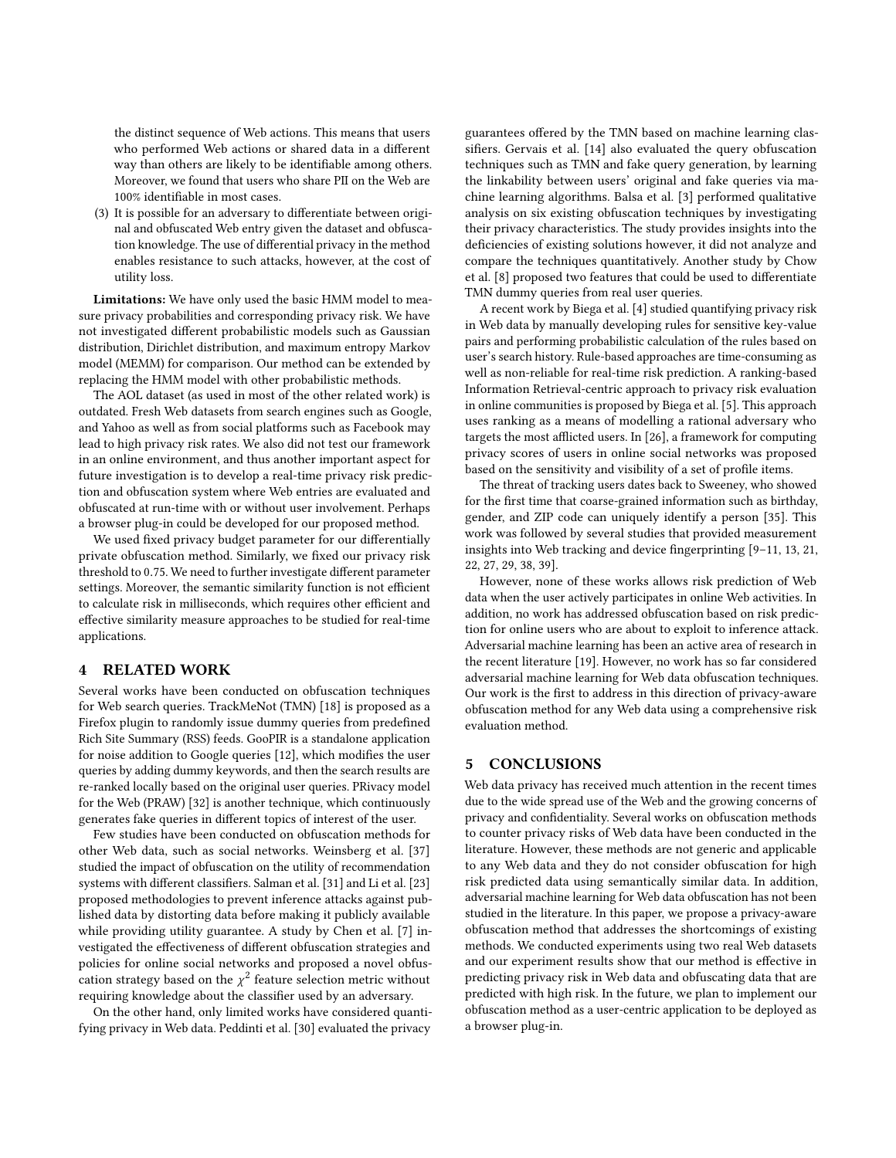the distinct sequence of Web actions. This means that users who performed Web actions or shared data in a different way than others are likely to be identifiable among others. Moreover, we found that users who share PII on the Web are 100% identifiable in most cases.

(3) It is possible for an adversary to differentiate between original and obfuscated Web entry given the dataset and obfuscation knowledge. The use of differential privacy in the method enables resistance to such attacks, however, at the cost of utility loss.

Limitations: We have only used the basic HMM model to measure privacy probabilities and corresponding privacy risk. We have not investigated different probabilistic models such as Gaussian distribution, Dirichlet distribution, and maximum entropy Markov model (MEMM) for comparison. Our method can be extended by replacing the HMM model with other probabilistic methods.

The AOL dataset (as used in most of the other related work) is outdated. Fresh Web datasets from search engines such as Google, and Yahoo as well as from social platforms such as Facebook may lead to high privacy risk rates. We also did not test our framework in an online environment, and thus another important aspect for future investigation is to develop a real-time privacy risk prediction and obfuscation system where Web entries are evaluated and obfuscated at run-time with or without user involvement. Perhaps a browser plug-in could be developed for our proposed method.

We used fixed privacy budget parameter for our differentially private obfuscation method. Similarly, we fixed our privacy risk threshold to <sup>0</sup>.75. We need to further investigate different parameter settings. Moreover, the semantic similarity function is not efficient to calculate risk in milliseconds, which requires other efficient and effective similarity measure approaches to be studied for real-time applications.

# <span id="page-8-0"></span>4 RELATED WORK

Several works have been conducted on obfuscation techniques for Web search queries. TrackMeNot (TMN) [\[18\]](#page-9-2) is proposed as a Firefox plugin to randomly issue dummy queries from predefined Rich Site Summary (RSS) feeds. GooPIR is a standalone application for noise addition to Google queries [\[12\]](#page-9-1), which modifies the user queries by adding dummy keywords, and then the search results are re-ranked locally based on the original user queries. PRivacy model for the Web (PRAW) [\[32\]](#page-9-3) is another technique, which continuously generates fake queries in different topics of interest of the user.

Few studies have been conducted on obfuscation methods for other Web data, such as social networks. Weinsberg et al. [\[37\]](#page-9-19) studied the impact of obfuscation on the utility of recommendation systems with different classifiers. Salman et al. [\[31\]](#page-9-20) and Li et al. [\[23\]](#page-9-21) proposed methodologies to prevent inference attacks against published data by distorting data before making it publicly available while providing utility guarantee. A study by Chen et al. [\[7\]](#page-9-0) investigated the effectiveness of different obfuscation strategies and policies for online social networks and proposed a novel obfuscation strategy based on the  $\chi^2$  feature selection metric without requiring knowledge about the classifier used by an adversary requiring knowledge about the classifier used by an adversary.

On the other hand, only limited works have considered quantifying privacy in Web data. Peddinti et al. [\[30\]](#page-9-22) evaluated the privacy

guarantees offered by the TMN based on machine learning classifiers. Gervais et al. [\[14\]](#page-9-23) also evaluated the query obfuscation techniques such as TMN and fake query generation, by learning the linkability between users' original and fake queries via machine learning algorithms. Balsa et al. [\[3\]](#page-9-24) performed qualitative analysis on six existing obfuscation techniques by investigating their privacy characteristics. The study provides insights into the deficiencies of existing solutions however, it did not analyze and compare the techniques quantitatively. Another study by Chow et al. [\[8\]](#page-9-25) proposed two features that could be used to differentiate TMN dummy queries from real user queries.

A recent work by Biega et al. [\[4\]](#page-9-10) studied quantifying privacy risk in Web data by manually developing rules for sensitive key-value pairs and performing probabilistic calculation of the rules based on user's search history. Rule-based approaches are time-consuming as well as non-reliable for real-time risk prediction. A ranking-based Information Retrieval-centric approach to privacy risk evaluation in online communities is proposed by Biega et al. [\[5\]](#page-9-26). This approach uses ranking as a means of modelling a rational adversary who targets the most afflicted users. In [\[26\]](#page-9-27), a framework for computing privacy scores of users in online social networks was proposed based on the sensitivity and visibility of a set of profile items.

The threat of tracking users dates back to Sweeney, who showed for the first time that coarse-grained information such as birthday, gender, and ZIP code can uniquely identify a person [\[35\]](#page-9-28). This work was followed by several studies that provided measurement insights into Web tracking and device fingerprinting [\[9–](#page-9-29)[11,](#page-9-30) [13,](#page-9-31) [21,](#page-9-32) [22,](#page-9-33) [27,](#page-9-34) [29,](#page-9-35) [38,](#page-9-36) [39\]](#page-9-37).

However, none of these works allows risk prediction of Web data when the user actively participates in online Web activities. In addition, no work has addressed obfuscation based on risk prediction for online users who are about to exploit to inference attack. Adversarial machine learning has been an active area of research in the recent literature [\[19\]](#page-9-38). However, no work has so far considered adversarial machine learning for Web data obfuscation techniques. Our work is the first to address in this direction of privacy-aware obfuscation method for any Web data using a comprehensive risk evaluation method.

# <span id="page-8-1"></span>5 CONCLUSIONS

Web data privacy has received much attention in the recent times due to the wide spread use of the Web and the growing concerns of privacy and confidentiality. Several works on obfuscation methods to counter privacy risks of Web data have been conducted in the literature. However, these methods are not generic and applicable to any Web data and they do not consider obfuscation for high risk predicted data using semantically similar data. In addition, adversarial machine learning for Web data obfuscation has not been studied in the literature. In this paper, we propose a privacy-aware obfuscation method that addresses the shortcomings of existing methods. We conducted experiments using two real Web datasets and our experiment results show that our method is effective in predicting privacy risk in Web data and obfuscating data that are predicted with high risk. In the future, we plan to implement our obfuscation method as a user-centric application to be deployed as a browser plug-in.